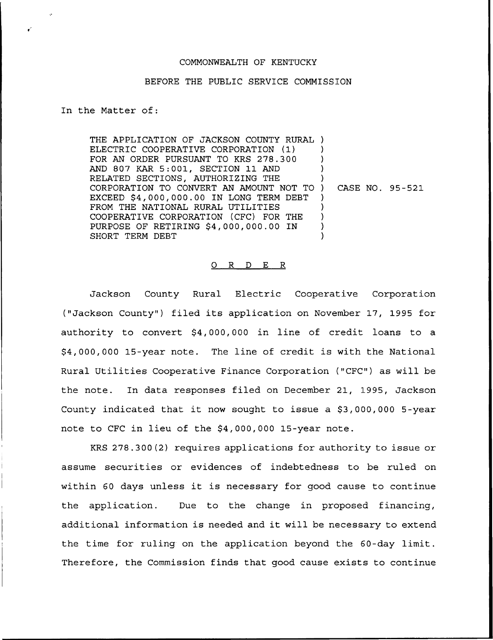#### COMMONWEALTH OF KENTUCKY

#### BEFORE THE PUBLIC SERVICE COMMISSION

### In the Matter of:

THE APPLICATION OF JACKSON COUNTY RURAL ) ELECTRIC COOPERATIVE CORPORATION (1) FOR AN ORDER PURSUANT TO KRS 278.300 AND 807 KAR 5:001, SECTION 11 AND RELATED SECTIONS, AUTHORIZING THE CORPORATION TO CONVERT AN AMOUNT NOT TO EXCEED \$4,000,000.00 IN LONG TERM DEBT FROM THE NATIONAL RURAL UTILITIES COOPERATIVE CORPORATION (CFC) FOR THE PURPOSE OF RETIRING \$4,000,000.00 IN SHORT TERM DEBT ) ) ) ) ) CASE NO. 95-521 ) ) ) ) )

#### 0 R <sup>D</sup> E R

Jackson County Rural Electric Cooperative Corporation ("Jackson County") filed its application on November 17, 1995 for authority to convert \$4,000,000 in line of credit loans to a \$4,000,000 15-year note. The line of credit is with the National Rural Utilities Cooperative Finance Corporation ("CFC") as will be the note. In data responses filed on December 21, 1995, Jackson County indicated that it now sought to issue a  $$3,000,000$  5-year note to CFC in lieu of the \$4,000,000 15-year note.

KRS 278.300(2) requires applications for authority to issue or assume securities or evidences of indebtedness to be ruled on within <sup>60</sup> days unless it is necessary for good cause to continue the application. Due to the change in proposed financing, additional information is needed and it will be necessary to extend the time for ruling on the application beyond the 60-day limit. Therefore, the Commission finds that good cause exists to continue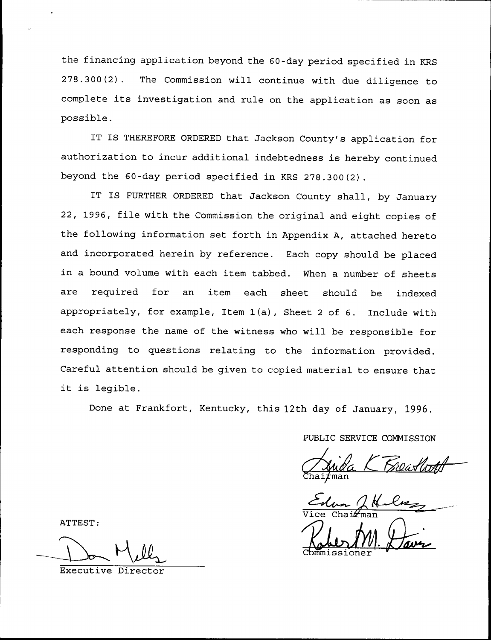the financing application beyond the 60-day period specified in KRS 278.300(2). The Commission will continue with due diligence to complete its investigation and rule on the application as soon as possible.

IT IS THEREFORE ORDERED that Jackson County's application for authorization to incur additional indebtedness is hereby continued beyond the 60-day period specified in KRS 278.300(2).

IT IS FURTHER ORDERED that Jackson County shall, by January 22, 1996, file with the Commission the original and eight copies of the following information set forth in Appendix A, attached hereto and incorporated herein by reference. Each copy should be placed in a bound volume with each item tabbed. When a number of sheets are required for an item each sheet should be indexe appropriately, for example, Item 1(a), Sheet <sup>2</sup> of 6. Include with each response the name of the witness who will be responsible for responding to questions relating to the information provided. Careful attention should be given to copied material to ensure that it is legible.

Done at Frankfort, Kentucky, this 12th day of January, 1996.

PUBLIC SERVICE COMMISSION

Chai*f*ille

ATTEST: VICE Chairman

Executive Director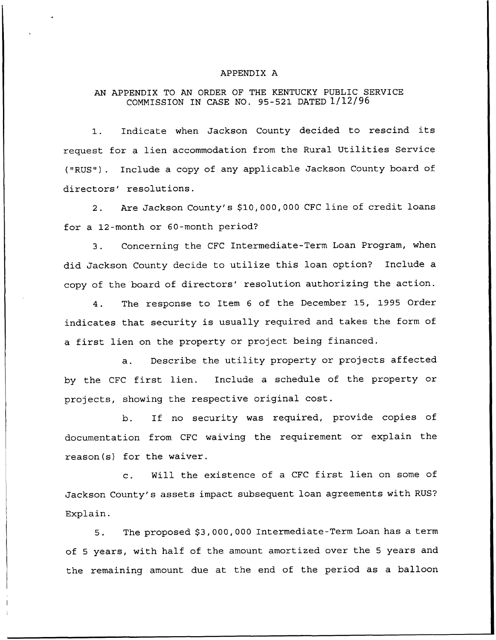## APPENDIX A

# AN APPENDIX TO AN ORDER OF THE KENTUCKY PUBLIC SERVICE COMMISSION IN CASE NO. 95-521 DATED 1/12/96

1. Indicate when Jackson County decided to rescind its request for a lien accommodation from the Rural Utilities Service {"RUS"). Include a copy of any applicable Jackson County board of directors' resolutions.

2. Are Jackson County's \$10,000,000 CFC line of credit loans for a 12-month or 60-month period'?

3. Concerning the CFC Intermediate-Term Loan Program, when did Jackson County decide to utilize this loan option? Include a copy of the board of directors' resolution authorizing the action.

4. The response to Item <sup>6</sup> of the December 15, 1995 Order indicates that security is usually required and takes the form of a first lien on the property or project being financed.

a. Describe the utility property or projects affected by the CFC first lien. Include <sup>a</sup> schedule of the property or projects, showing the respective original cost.

b. If no security was required, provide copies of documentation from CFC waiving the requirement or explain the reason(s) for the waiver.

c. Will the existence of <sup>a</sup> CFC first lien on some of Jackson County's assets impact subsequent loan agreements with RUS? Explain.

5. The proposed \$3,000,000 Intermediate-Term Loan has a term of <sup>5</sup> years, with half of the amount amortized over the <sup>5</sup> years and the remaining amount due at the end of the period as a balloon